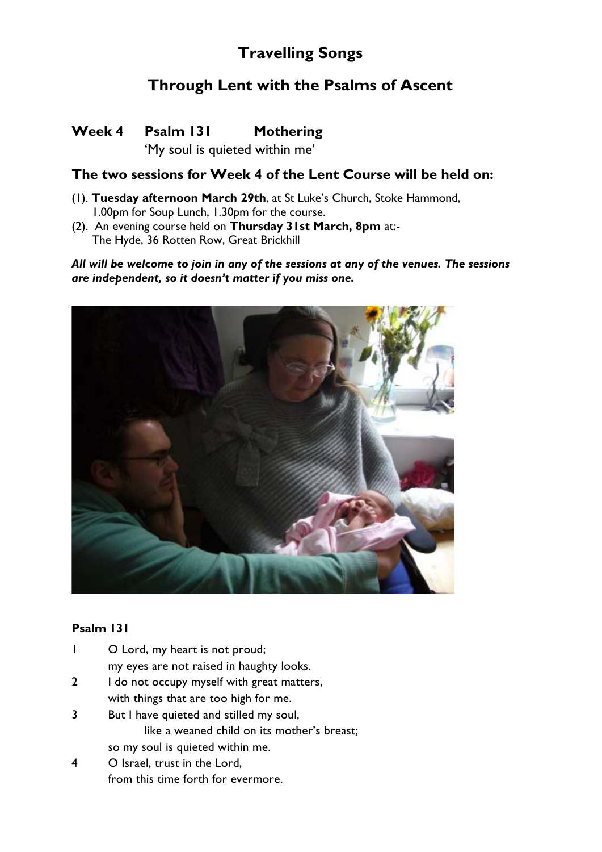# **Travelling Songs**

## **Through Lent with the Psalms of Ascent**

### **Week 4 Psalm 131 Mothering**

'My soul is quieted within me'

### **The two sessions for Week 4 of the Lent Course will be held on:**

- (1). **Tuesday afternoon March 29th**, at St Luke's Church, Stoke Hammond, 1.00pm for Soup Lunch, 1.30pm for the course.
- (2). An evening course held on **Thursday 31st March, 8pm** at:- The Hyde, 36 Rotten Row, Great Brickhill

*All will be welcome to join in any of the sessions at any of the venues. The sessions are independent, so it doesn't matter if you miss one.*



#### **Psalm 131**

- 1 O Lord, my heart is not proud; my eyes are not raised in haughty looks.
- 2 I do not occupy myself with great matters, with things that are too high for me.
- 3 But I have quieted and stilled my soul, like a weaned child on its mother's breast; so my soul is quieted within me.
- 4 O Israel, trust in the Lord, from this time forth for evermore.